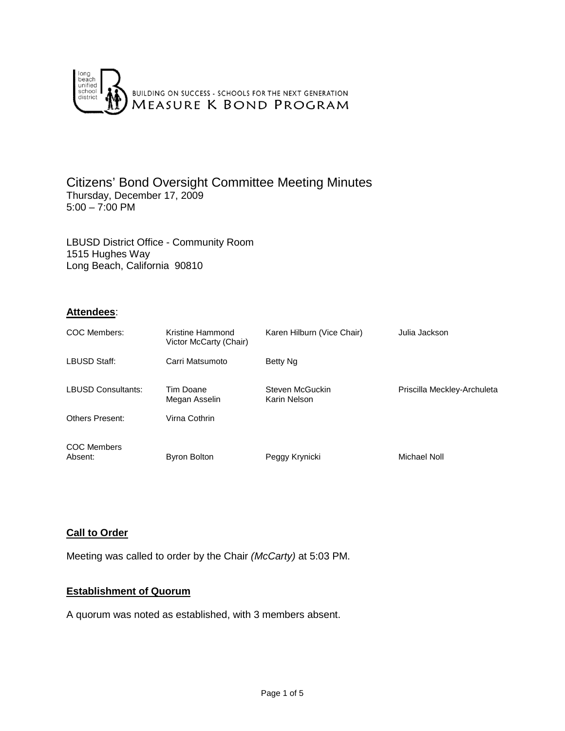

## Citizens' Bond Oversight Committee Meeting Minutes Thursday, December 17, 2009  $5:00 - 7:00$  PM

LBUSD District Office - Community Room 1515 Hughes Way Long Beach, California 90810

# **Attendees**:

| COC Members:                  | Kristine Hammond<br>Victor McCarty (Chair) | Karen Hilburn (Vice Chair)      | Julia Jackson               |
|-------------------------------|--------------------------------------------|---------------------------------|-----------------------------|
| LBUSD Staff:                  | Carri Matsumoto                            | Betty Ng                        |                             |
| <b>LBUSD Consultants:</b>     | Tim Doane<br>Megan Asselin                 | Steven McGuckin<br>Karin Nelson | Priscilla Meckley-Archuleta |
| <b>Others Present:</b>        | Virna Cothrin                              |                                 |                             |
| <b>COC Members</b><br>Absent: | <b>Byron Bolton</b>                        | Peggy Krynicki                  | Michael Noll                |

## **Call to Order**

Meeting was called to order by the Chair *(McCarty)* at 5:03 PM.

## **Establishment of Quorum**

A quorum was noted as established, with 3 members absent.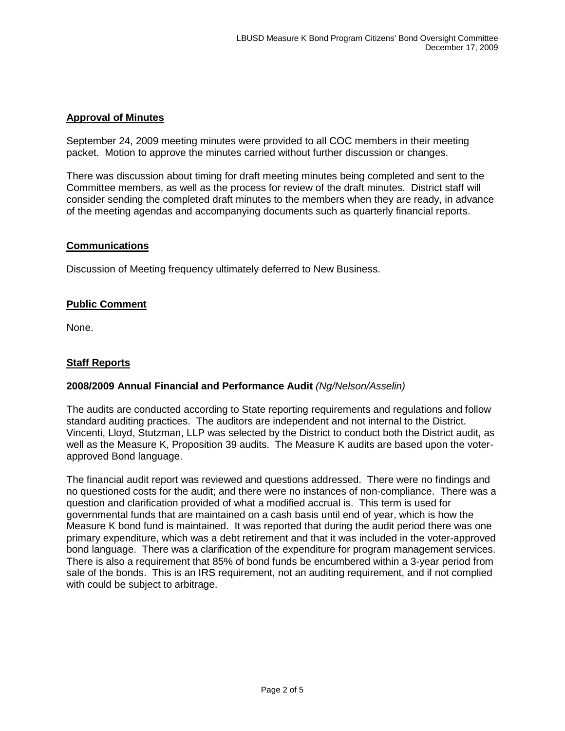## **Approval of Minutes**

September 24, 2009 meeting minutes were provided to all COC members in their meeting packet. Motion to approve the minutes carried without further discussion or changes.

There was discussion about timing for draft meeting minutes being completed and sent to the Committee members, as well as the process for review of the draft minutes. District staff will consider sending the completed draft minutes to the members when they are ready, in advance of the meeting agendas and accompanying documents such as quarterly financial reports.

## **Communications**

Discussion of Meeting frequency ultimately deferred to New Business.

# **Public Comment**

None.

# **Staff Reports**

## **2008/2009 Annual Financial and Performance Audit** *(Ng/Nelson/Asselin)*

The audits are conducted according to State reporting requirements and regulations and follow standard auditing practices. The auditors are independent and not internal to the District. Vincenti, Lloyd, Stutzman, LLP was selected by the District to conduct both the District audit, as well as the Measure K, Proposition 39 audits. The Measure K audits are based upon the voterapproved Bond language.

The financial audit report was reviewed and questions addressed. There were no findings and no questioned costs for the audit; and there were no instances of non-compliance. There was a question and clarification provided of what a modified accrual is. This term is used for governmental funds that are maintained on a cash basis until end of year, which is how the Measure K bond fund is maintained. It was reported that during the audit period there was one primary expenditure, which was a debt retirement and that it was included in the voter-approved bond language. There was a clarification of the expenditure for program management services. There is also a requirement that 85% of bond funds be encumbered within a 3-year period from sale of the bonds. This is an IRS requirement, not an auditing requirement, and if not complied with could be subject to arbitrage.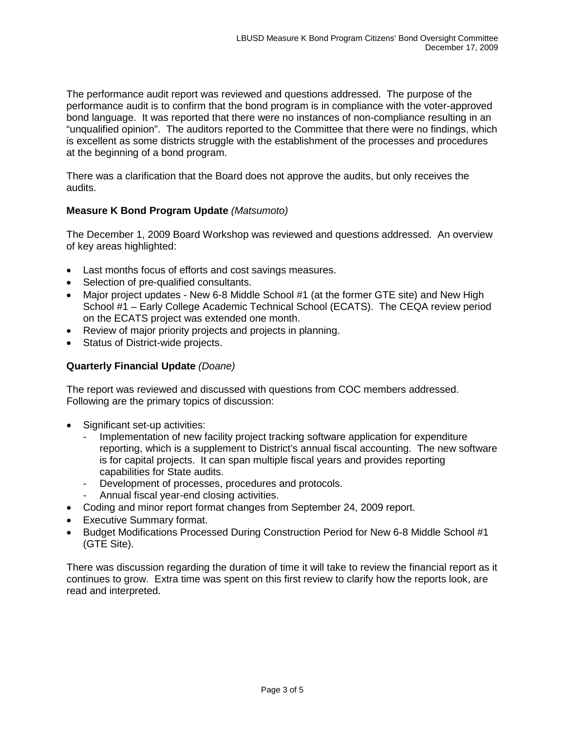The performance audit report was reviewed and questions addressed. The purpose of the performance audit is to confirm that the bond program is in compliance with the voter-approved bond language. It was reported that there were no instances of non-compliance resulting in an "unqualified opinion". The auditors reported to the Committee that there were no findings, which is excellent as some districts struggle with the establishment of the processes and procedures at the beginning of a bond program.

There was a clarification that the Board does not approve the audits, but only receives the audits.

# **Measure K Bond Program Update** *(Matsumoto)*

The December 1, 2009 Board Workshop was reviewed and questions addressed. An overview of key areas highlighted:

- Last months focus of efforts and cost savings measures.
- Selection of pre-qualified consultants.
- Major project updates New 6-8 Middle School #1 (at the former GTE site) and New High School #1 – Early College Academic Technical School (ECATS). The CEQA review period on the ECATS project was extended one month.
- Review of major priority projects and projects in planning.
- Status of District-wide projects.

## **Quarterly Financial Update** *(Doane)*

The report was reviewed and discussed with questions from COC members addressed. Following are the primary topics of discussion:

- Significant set-up activities:
	- Implementation of new facility project tracking software application for expenditure reporting, which is a supplement to District's annual fiscal accounting. The new software is for capital projects. It can span multiple fiscal years and provides reporting capabilities for State audits.
	- Development of processes, procedures and protocols.
	- Annual fiscal year-end closing activities.
- Coding and minor report format changes from September 24, 2009 report.
- Executive Summary format.
- Budget Modifications Processed During Construction Period for New 6-8 Middle School #1 (GTE Site).

There was discussion regarding the duration of time it will take to review the financial report as it continues to grow. Extra time was spent on this first review to clarify how the reports look, are read and interpreted.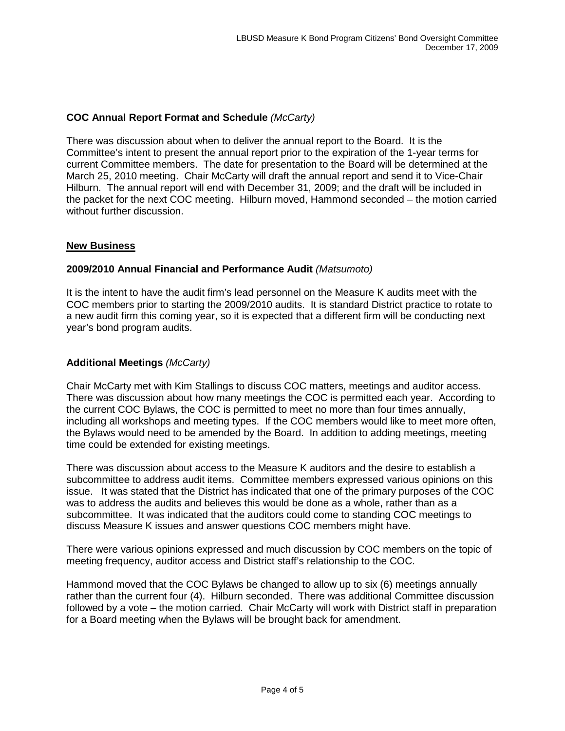# **COC Annual Report Format and Schedule** *(McCarty)*

There was discussion about when to deliver the annual report to the Board. It is the Committee's intent to present the annual report prior to the expiration of the 1-year terms for current Committee members. The date for presentation to the Board will be determined at the March 25, 2010 meeting. Chair McCarty will draft the annual report and send it to Vice-Chair Hilburn. The annual report will end with December 31, 2009; and the draft will be included in the packet for the next COC meeting. Hilburn moved, Hammond seconded – the motion carried without further discussion.

## **New Business**

## **2009/2010 Annual Financial and Performance Audit** *(Matsumoto)*

It is the intent to have the audit firm's lead personnel on the Measure K audits meet with the COC members prior to starting the 2009/2010 audits. It is standard District practice to rotate to a new audit firm this coming year, so it is expected that a different firm will be conducting next year's bond program audits.

#### **Additional Meetings** *(McCarty)*

Chair McCarty met with Kim Stallings to discuss COC matters, meetings and auditor access. There was discussion about how many meetings the COC is permitted each year. According to the current COC Bylaws, the COC is permitted to meet no more than four times annually, including all workshops and meeting types. If the COC members would like to meet more often, the Bylaws would need to be amended by the Board. In addition to adding meetings, meeting time could be extended for existing meetings.

There was discussion about access to the Measure K auditors and the desire to establish a subcommittee to address audit items. Committee members expressed various opinions on this issue. It was stated that the District has indicated that one of the primary purposes of the COC was to address the audits and believes this would be done as a whole, rather than as a subcommittee. It was indicated that the auditors could come to standing COC meetings to discuss Measure K issues and answer questions COC members might have.

There were various opinions expressed and much discussion by COC members on the topic of meeting frequency, auditor access and District staff's relationship to the COC.

Hammond moved that the COC Bylaws be changed to allow up to six (6) meetings annually rather than the current four (4). Hilburn seconded. There was additional Committee discussion followed by a vote – the motion carried. Chair McCarty will work with District staff in preparation for a Board meeting when the Bylaws will be brought back for amendment.